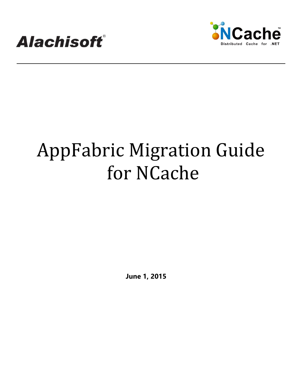



# AppFabric Migration Guide for NCache

**June 1, 2015**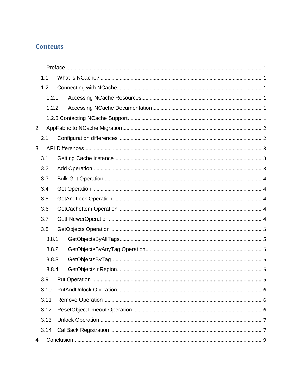### **Contents**

| $\mathbf{1}$      |       |       |  |  |  |
|-------------------|-------|-------|--|--|--|
|                   | 1.1   |       |  |  |  |
|                   | 1.2   |       |  |  |  |
|                   | 1.2.1 |       |  |  |  |
|                   |       | 1.2.2 |  |  |  |
|                   |       |       |  |  |  |
| $\overline{2}$    |       |       |  |  |  |
|                   | 2.1   |       |  |  |  |
| 3                 |       |       |  |  |  |
|                   | 3.1   |       |  |  |  |
| 3.2<br>3.3<br>3.4 |       |       |  |  |  |
|                   |       |       |  |  |  |
|                   |       |       |  |  |  |
|                   | 3.5   |       |  |  |  |
| 3.6               |       |       |  |  |  |
|                   | 3.7   |       |  |  |  |
|                   | 3.8   |       |  |  |  |
|                   | 3.8.1 |       |  |  |  |
|                   | 3.8.2 |       |  |  |  |
|                   | 3.8.3 |       |  |  |  |
|                   | 3.8.4 |       |  |  |  |
|                   | 3.9   |       |  |  |  |
|                   | 3.10  |       |  |  |  |
|                   | 3.11  |       |  |  |  |
|                   | 3.12  |       |  |  |  |
| 3.13              |       |       |  |  |  |
|                   | 3.14  |       |  |  |  |
| 4                 |       |       |  |  |  |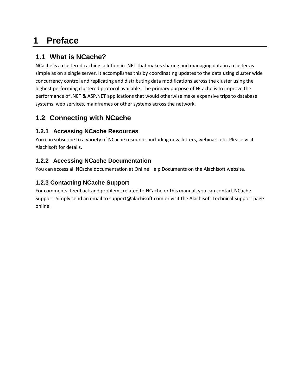## <span id="page-2-0"></span>**1 Preface**

## <span id="page-2-1"></span>**1.1 What is NCache?**

NCache is a clustered caching solution in .NET that makes sharing and managing data in a cluster as simple as on a single server. It accomplishes this by coordinating updates to the data using cluster wide concurrency control and replicating and distributing data modifications across the cluster using the highest performing clustered protocol available. The primary purpose of NCache is to improve the performance of .NET & ASP.NET applications that would otherwise make expensive trips to database systems, web services, mainframes or other systems across the network.

## <span id="page-2-2"></span>**1.2 Connecting with NCache**

#### <span id="page-2-3"></span>**1.2.1 Accessing NCache Resources**

You can subscribe to a variety of NCache resources including newsletters, webinars etc. Please visit Alachisoft for details.

#### <span id="page-2-4"></span>**1.2.2 Accessing NCache Documentation**

You can access all NCache documentation at Online Help Documents on the Alachisoft website.

#### <span id="page-2-5"></span>**1.2.3 Contacting NCache Support**

For comments, feedback and problems related to NCache or this manual, you can contact NCache Support. Simply send an email to support@alachisoft.com or visit the Alachisoft Technical Support page online.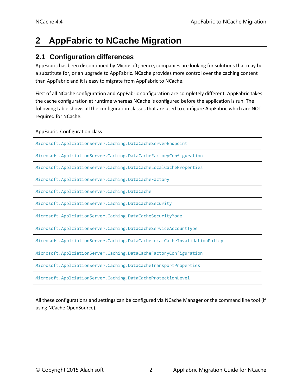## <span id="page-3-0"></span>**2 AppFabric to NCache Migration**

#### <span id="page-3-1"></span>**2.1 Configuration differences**

AppFabric has been discontinued by Microsoft; hence, companies are looking for solutions that may be a substitute for, or an upgrade to AppFabric. NCache provides more control over the caching content than AppFabric and it is easy to migrate from AppFabric to NCache.

First of all NCache configuration and AppFabric configuration are completely different. AppFabric takes the cache configuration at runtime whereas NCache is configured before the application is run. The following table shows all the configuration classes that are used to configure AppFabric which are NOT required for NCache.

| AppFabric Configuration class                                             |  |  |  |  |
|---------------------------------------------------------------------------|--|--|--|--|
| Microsoft.ApplciationServer.Caching.DataCacheServerEndpoint               |  |  |  |  |
| Microsoft.ApplciationServer.Caching.DataCacheFactoryConfiguration         |  |  |  |  |
| Microsoft.ApplciationServer.Caching.DataCacheLocalCacheProperties         |  |  |  |  |
| Microsoft.ApplciationServer.Caching.DataCacheFactory                      |  |  |  |  |
| Microsoft.ApplciationServer.Caching.DataCache                             |  |  |  |  |
| Microsoft.ApplciationServer.Caching.DataCacheSecurity                     |  |  |  |  |
| Microsoft.ApplciationServer.Caching.DataCacheSecurityMode                 |  |  |  |  |
| Microsoft.ApplciationServer.Caching.DataCacheServiceAccountType           |  |  |  |  |
| Microsoft.ApplciationServer.Caching.DataCacheLocalCacheInvalidationPolicy |  |  |  |  |
| Microsoft.ApplciationServer.Caching.DataCacheFactoryConfiguration         |  |  |  |  |
| Microsoft.ApplciationServer.Caching.DataCacheTransportProperties          |  |  |  |  |
| Microsoft.ApplciationServer.Caching.DataCacheProtectionLevel              |  |  |  |  |

All these configurations and settings can be configured via NCache Manager or the command line tool (if using NCache OpenSource).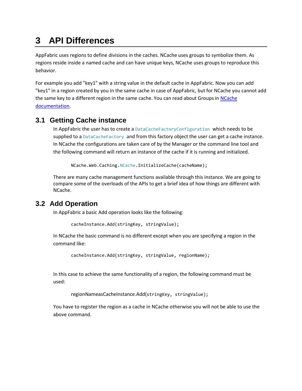# <span id="page-4-0"></span>**3 API Differences**

AppFabric uses regions to define divisions in the caches. NCache uses groups to symbolize them. As regions reside inside a named cache and can have unique keys, NCache uses groups to reproduce this behavior.

For example you add "key1" with a string value in the default cache in AppFabric. Now you can add "key1" in a region created by you in the same cache in case of AppFabric, but for NCache you cannot add the same key to a different region in the same cache. You can read about Groups in [NCache](http://www.alachisoft.com/resources/docs/)  [documentation.](http://www.alachisoft.com/resources/docs/)

#### <span id="page-4-1"></span>**3.1 Getting Cache instance**

In AppFabric the user has to create a DataCacheFactoryConfiguration which needs to be supplied to a DataCacheFactory and from this factory object the user can get a cache instance. In NCache the configurations are taken care of by the Manager or the command line tool and the following command will return an instance of the cache if it is running and initialized.

NCache.Web.Caching.NCache.InitializeCache(cacheName);

There are many cache management functions available through this instance. We are going to compare some of the overloads of the APIs to get a brief idea of how things are different with NCache.

#### <span id="page-4-2"></span>**3.2 Add Operation**

In AppFabric a basic Add operation looks like the following:

```
cacheInstance.Add(stringKey, stringValue);
```
In NCache the basic command is no different except when you are specifying a region in the command like:

cacheInstance.Add(stringKey, stringValue, regionName);

In this case to achieve the same functionality of a region, the following command must be used:

```
regionNameasCacheInstance.Add(stringKey, stringValue);
```
You have to register the region as a cache in NCache otherwise you will not be able to use the above command.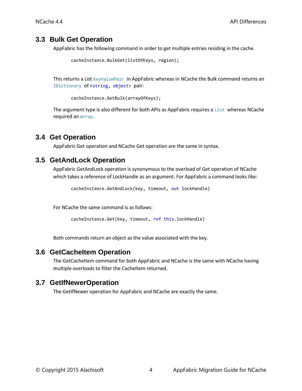#### <span id="page-5-0"></span>**3.3 Bulk Get Operation**

AppFabric has the following command in order to get multiple entries residing in the cache.

```
cacheInstance.BulkGet(listOfKeys, region);
```
This returns a List KeyValuePair in AppFabric whereas in NCache the Bulk command returns an IDictionary of <string, object> pair:

cacheInstance.GetBulk(arrayOfKeys);

The argument type is also different for both APIs as AppFabric requires a List whereas NCache required an Array.

#### <span id="page-5-1"></span>**3.4 Get Operation**

AppFabric Get operation and NCache Get operation are the same in syntax.

#### <span id="page-5-2"></span>**3.5 GetAndLock Operation**

AppFabric GetAndLock operation is synonymous to the overload of Get operation of NCache which takes a reference of LockHandle as an argument. For AppFabric a command looks like:

cacheInstance.GetAndLock(key, timeout, out lockHandle)

For NCache the same command is as follows:

cacheInstance.Get(key, timeout, ref this.lockHandle)

Both commands return an object as the value associated with the key.

#### <span id="page-5-3"></span>**3.6 GetCacheItem Operation**

The GetCacheItem command for both AppFabric and NCache is the same with NCache having multiple overloads to filter the CacheItem returned.

#### <span id="page-5-4"></span>**3.7 GetIfNewerOperation**

The GetIfNewer operation for AppFabric and NCache are exactly the same.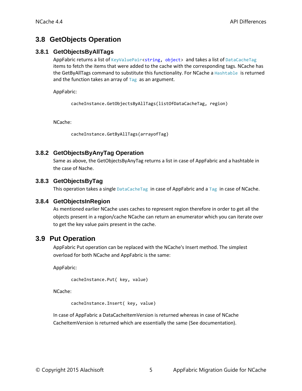#### <span id="page-6-0"></span>**3.8 GetObjects Operation**

#### <span id="page-6-1"></span>**3.8.1 GetObjectsByAllTags**

AppFabric returns a list of KeyValuePair<string, object> and takes a list of DataCacheTag items to fetch the items that were added to the cache with the corresponding tags. NCache has the GetByAllTags command to substitute this functionality. For NCache a Hashtable is returned and the function takes an array of  $Tag$  as an argument.

AppFabric:

cacheInstance.GetObjectsByAllTags(listOfDataCacheTag, region)

NCache:

cacheInstance.GetByAllTags(arrayofTag)

#### <span id="page-6-2"></span>**3.8.2 GetObjectsByAnyTag Operation**

Same as above, the GetObjectsByAnyTag returns a list in case of AppFabric and a hashtable in the case of Nache.

#### <span id="page-6-3"></span>**3.8.3 GetObjectsByTag**

This operation takes a single DataCacheTag in case of AppFabric and a Tag in case of NCache.

#### <span id="page-6-4"></span>**3.8.4 GetObjectsInRegion**

As mentioned earlier NCache uses caches to represent region therefore in order to get all the objects present in a region/cache NCache can return an enumerator which you can iterate over to get the key value pairs present in the cache.

#### <span id="page-6-5"></span>**3.9 Put Operation**

AppFabric Put operation can be replaced with the NCache's Insert method. The simplest overload for both NCache and AppFabric is the same:

AppFabric:

```
cacheInstance.Put( key, value)
```
NCache:

cacheInstance.Insert( key, value)

In case of AppFabric a DataCacheItemVersion is returned whereas in case of NCache CacheItemVersion is returned which are essentially the same (See documentation).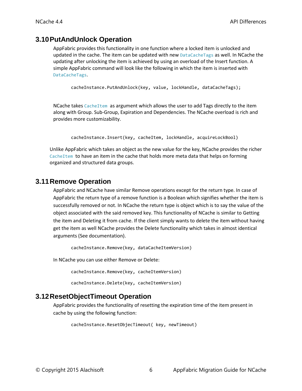#### <span id="page-7-0"></span>**3.10PutAndUnlock Operation**

AppFabric provides this functionality in one function where a locked item is unlocked and updated in the cache. The item can be updated with new DataCacheTags as well. In NCache the updating after unlocking the item is achieved by using an overload of the Insert function. A simple AppFabric command will look like the following in which the item is inserted with DataCacheTags.

```
cacheInstance.PutAndUnlock(key, value, lockHandle, dataCacheTags);
```
NCache takes CacheItem as argument which allows the user to add Tags directly to the item along with Group. Sub-Group, Expiration and Dependencies. The NCache overload is rich and provides more customizability.

cacheInstance.Insert(key, cacheItem, lockHandle, acquireLockBool)

Unlike AppFabric which takes an object as the new value for the key, NCache provides the richer CacheItem to have an item in the cache that holds more meta data that helps on forming organized and structured data groups.

#### <span id="page-7-1"></span>**3.11Remove Operation**

AppFabric and NCache have similar Remove operations except for the return type. In case of AppFabric the return type of a remove function is a Boolean which signifies whether the item is successfully removed or not. In NCache the return type is object which is to say the value of the object associated with the said removed key. This functionality of NCache is similar to Getting the item and Deleting it from cache. If the client simply wants to delete the item without having get the item as well NCache provides the Delete functionality which takes in almost identical arguments (See documentation).

cacheInstance.Remove(key, dataCacheItemVersion)

In NCache you can use either Remove or Delete:

cacheInstance.Remove(key, cacheItemVersion)

cacheInstance.Delete(key, cacheItemVersion)

#### <span id="page-7-2"></span>**3.12ResetObjectTimeout Operation**

AppFabric provides the functionality of resetting the expiration time of the item present in cache by using the following function:

```
cacheInstance.ResetObjecTimeout( key, newTimeout)
```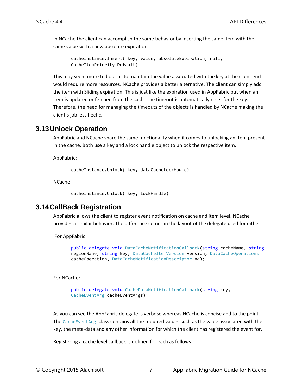In NCache the client can accomplish the same behavior by inserting the same item with the same value with a new absolute expiration:

```
cacheInstance.Insert( key, value, absoluteExpiration, null, 
CacheItemPriority.Default)
```
This may seem more tedious as to maintain the value associated with the key at the client end would require more resources. NCache provides a better alternative. The client can simply add the item with Sliding expiration. This is just like the expiration used in AppFabric but when an item is updated or fetched from the cache the timeout is automatically reset for the key. Therefore, the need for managing the timeouts of the objects is handled by NCache making the client's job less hectic.

#### <span id="page-8-0"></span>**3.13Unlock Operation**

AppFabric and NCache share the same functionality when it comes to unlocking an item present in the cache. Both use a key and a lock handle object to unlock the respective item.

AppFabric:

cacheInstance.Unlock( key, dataCacheLockHadle)

NCache:

cacheInstance.Unlock( key, lockHandle)

#### <span id="page-8-1"></span>**3.14CallBack Registration**

AppFabric allows the client to register event notification on cache and item level. NCache provides a similar behavior. The difference comes in the layout of the delegate used for either.

For AppFabric:

```
public delegate void DataCacheNotificationCallback(string cacheName, string
regionName, string key, DataCacheItemVersion version, DataCacheOperations
cacheOperation, DataCacheNotificationDescriptor nd);
```
For NCache:

public delegate void CacheDataNotificationCallback(string key, CacheEventArg cacheEventArgs);

As you can see the AppFabric delegate is verbose whereas NCache is concise and to the point. The CacheEventArg class contains all the required values such as the value associated with the key, the meta-data and any other information for which the client has registered the event for.

Registering a cache level callback is defined for each as follows: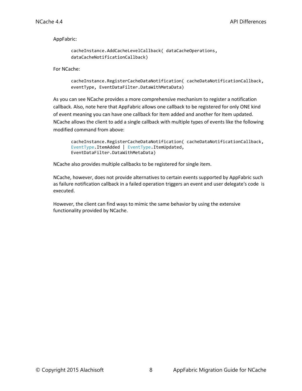AppFabric:

```
cacheInstance.AddCacheLevelCallback( dataCacheOperations, 
dataCacheNotificationCallback)
```
For NCache:

```
cacheInstance.RegisterCacheDataNotification( cacheDataNotificationCallback, 
eventType, EventDataFilter.DataWithMetaData)
```
As you can see NCache provides a more comprehensive mechanism to register a notification callback. Also, note here that AppFabric allows one callback to be registered for only ONE kind of event meaning you can have one callback for Item added and another for Item updated. NCache allows the client to add a single callback with multiple types of events like the following modified command from above:

```
cacheInstance.RegisterCacheDataNotification( cacheDataNotificationCallback, 
EventType.ItemAdded | EventType.ItemUpdated, 
EventDataFilter.DataWithMetaData)
```
NCache also provides multiple callbacks to be registered for single item.

NCache, however, does not provide alternatives to certain events supported by AppFabric such as failure notification callback in a failed operation triggers an event and user delegate's code is executed.

However, the client can find ways to mimic the same behavior by using the extensive functionality provided by NCache.